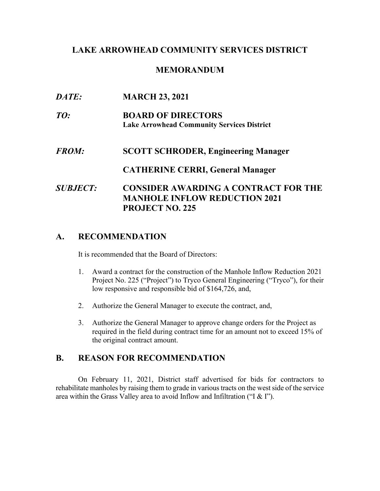# **LAKE ARROWHEAD COMMUNITY SERVICES DISTRICT**

#### **MEMORANDUM**

| DATE:           | <b>MARCH 23, 2021</b>                             |
|-----------------|---------------------------------------------------|
| TO:             | <b>BOARD OF DIRECTORS</b>                         |
|                 | <b>Lake Arrowhead Community Services District</b> |
| <b>FROM:</b>    | <b>SCOTT SCHRODER, Engineering Manager</b>        |
|                 | <b>CATHERINE CERRI, General Manager</b>           |
| <b>SUBJECT:</b> | <b>CONSIDER AWARDING A CONTRACT FOR THE</b>       |
|                 | <b>MANHOLE INFLOW REDUCTION 2021</b>              |
|                 | <b>PROJECT NO. 225</b>                            |

# **A. RECOMMENDATION**

It is recommended that the Board of Directors:

- 1. Award a contract for the construction of the Manhole Inflow Reduction 2021 Project No. 225 ("Project") to Tryco General Engineering ("Tryco"), for their low responsive and responsible bid of \$164,726, and,
- 2. Authorize the General Manager to execute the contract, and,
- 3. Authorize the General Manager to approve change orders for the Project as required in the field during contract time for an amount not to exceed 15% of the original contract amount.

# **B. REASON FOR RECOMMENDATION**

On February 11, 2021, District staff advertised for bids for contractors to rehabilitate manholes by raising them to grade in various tracts on the west side of the service area within the Grass Valley area to avoid Inflow and Infiltration ("I & I").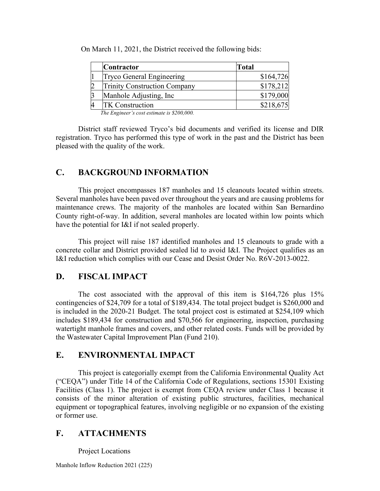| <b>Contractor</b>                   | <b>Total</b> |
|-------------------------------------|--------------|
| Tryco General Engineering           | \$164,726    |
| <b>Trinity Construction Company</b> | \$178,212    |
| Manhole Adjusting, Inc.             | \$179,000    |
| <b>TK</b> Construction              | \$218,675    |

On March 11, 2021, the District received the following bids:

*The Engineer's cost estimate is \$200,000.*

District staff reviewed Tryco's bid documents and verified its license and DIR registration. Tryco has performed this type of work in the past and the District has been pleased with the quality of the work.

# **C. BACKGROUND INFORMATION**

This project encompasses 187 manholes and 15 cleanouts located within streets. Several manholes have been paved over throughout the years and are causing problems for maintenance crews. The majority of the manholes are located within San Bernardino County right-of-way. In addition, several manholes are located within low points which have the potential for I&I if not sealed properly.

This project will raise 187 identified manholes and 15 cleanouts to grade with a concrete collar and District provided sealed lid to avoid I&I. The Project qualifies as an I&I reduction which complies with our Cease and Desist Order No. R6V-2013-0022.

#### **D. FISCAL IMPACT**

The cost associated with the approval of this item is \$164,726 plus 15% contingencies of \$24,709 for a total of \$189,434. The total project budget is \$260,000 and is included in the 2020-21 Budget. The total project cost is estimated at \$254,109 which includes \$189,434 for construction and \$70,566 for engineering, inspection, purchasing watertight manhole frames and covers, and other related costs. Funds will be provided by the Wastewater Capital Improvement Plan (Fund 210).

#### **E. ENVIRONMENTAL IMPACT**

This project is categorially exempt from the California Environmental Quality Act ("CEQA") under Title 14 of the California Code of Regulations, sections 15301 Existing Facilities (Class 1). The project is exempt from CEQA review under Class 1 because it consists of the minor alteration of existing public structures, facilities, mechanical equipment or topographical features, involving negligible or no expansion of the existing or former use.

# **F. ATTACHMENTS**

Project Locations

Manhole Inflow Reduction 2021 (225)